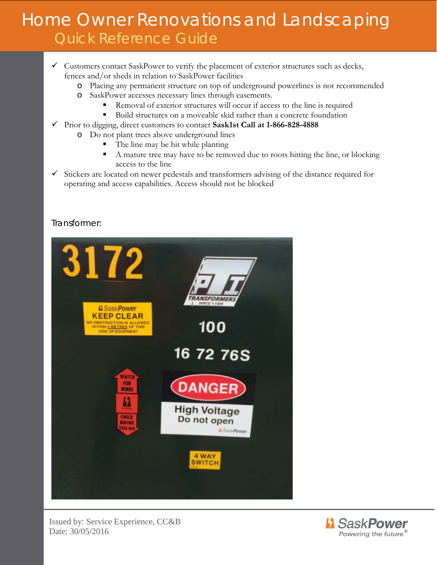- $\checkmark$  Customers contact SaskPower to verify the placement of exterior structures such as decks, fences and/or sheds in relation to SaskPower facilities
	- o Placing any permanent structure on top of underground powerlines is not recommended
	- o SaskPower accesses necessary lines through easements.
		- Removal of exterior structures will occur if access to the line is required
		- Build structures on a moveable skid rather than a concrete foundation
- Prior to digging, direct customers to contact **Sask1st Call at 1-866-828-4888**
	- o Do not plant trees above underground lines
		- The line may be hit while planting
		- A mature tree may have to be removed due to roots hitting the line, or blocking access to the line
- $\checkmark$  Stickers are located on newer pedestals and transformers advising of the distance required for operating and access capabilities. Access should not be blocked

#### Transformer:



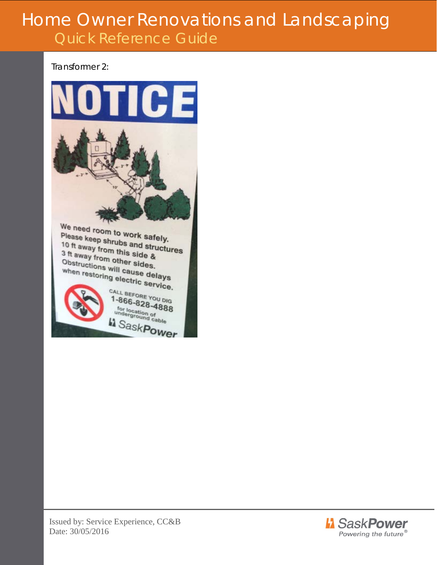Transformer 2:

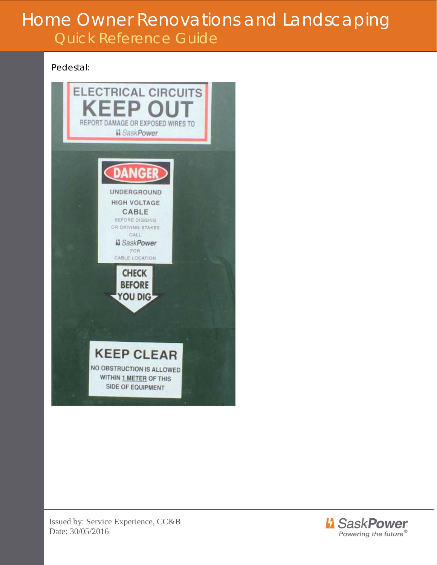Pedestal: